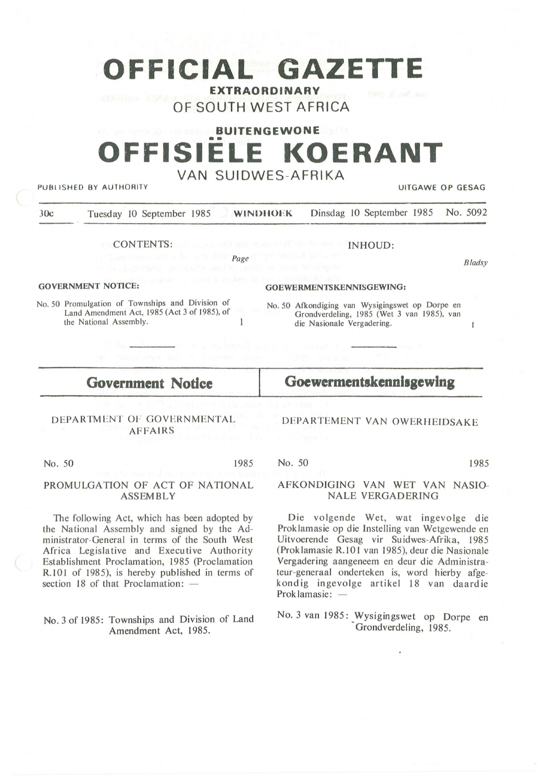# **OFFICIAL GAZETTE EXTRAORDINARY**

# **OF SOUTH WEST AFRICA**

# **BUITENGEWONE** •• **OFFISIELE KOERANT VAN SUIDWES-AFRIKA**

PUBLISHED BY AUTHORITY **EXECUTE A SECOND THE SECOND SECOND SECOND SECOND SECOND SECOND SECOND SECOND SECOND SECOND SECOND SECOND SECOND SECOND SECOND SECOND SECOND SECOND SECOND SECOND SECOND SECOND SECOND SECOND SECOND SE** 

*B ladsy* 

 $\mathbf{1}$ 

JOc Tuesday 10 September 1985 **WINDtlOl •: K** Dinsdag 10 September 1985 No. 5092

CONTENTS:

*Page* 

 $\mathbf{1}$ 

#### **GOVERNMENT NOTICE:**

No. 50 Promulgation of Townships and Division of Land Amendment Act, 1985 (Act 3 of 1985), of the National Assembly.

### **GOEWERMENTSKENNISGEWING:**

No . 50 Afkondiging van Wysigingswet op Dorpe en Grondverdeling, 1985 (Wet 3 van 1985), van die Nasionale Vergadering.

## **Government Nodce**

**Goewermentskennlsgewlng** 

DFPARTEMENT YAN OWERHEIDSAKE

### DEPARTMENT 01· GOVERNMENTAL AFFAIRS

No. 50 1985

#### PROMULGATION OF ACT OF NATIONAL **ASSEMBLY**

The following Act, which has been adopted by the National Assembly and signed by the Administrator-General in terms of the South West Africa Legislative and Executive Authority Establishment Proclamation, 1985 (Proclamation R.101 of 1985), is hereby published in terms of section  $18$  of that Proclamation:  $-$ 

#### No. 3 of 1985: Townships and Division of Land Amendment Act, 1985.

No. 50 1985

### AFKONDIGING VAN WET VAN NASIO-NALE VERGADERING

Die volgende Wet, wat ingevolge die Proklamasie op die Instelling van Wetgewende en Uitvoerende Gesag vir Suidwes-Afrika, 1985 (Proklamasie R.101 van 1985), deur die Nasionale Vergadering aangeneem en deur die Administrateur-generaal onderteken is, word hierby afgekond ig ingevolge artikel 18 van daard ie Proklamasie: -

No. 3 van 1985: Wysigingswet op Dorpe en Grondverdeling, 1985.

INHOUD: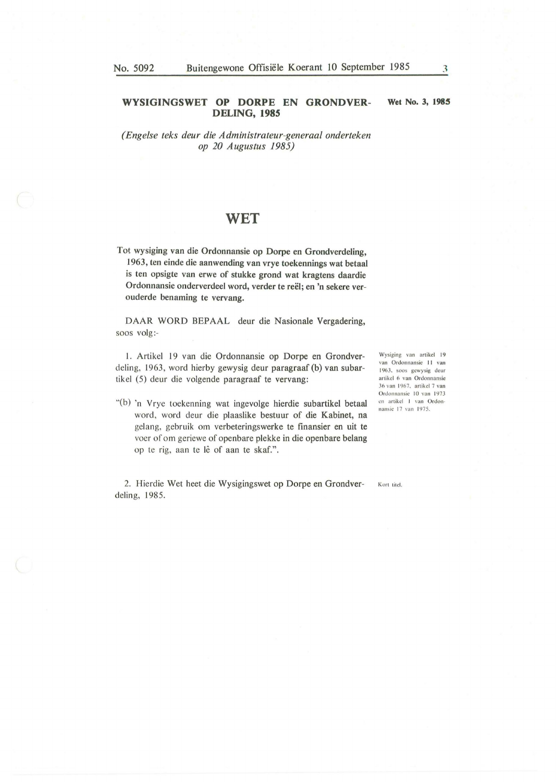#### **WYSIGINGSWET OP DORPE EN GRONDVER-DELING, 1985 Wet No. 3, 1985**

*(Enge/se teks deur die Administrateur-generaa/ onderteken op 20 Augustus 1985)* 

### WET

Tot wysiging van die Ordonnansie op Dorpe en Grondverdeling, 1963, ten einde die aanwending van vrye toekennings wat betaal is ten opsigte van erwe of stukke grond wat kragtens daardie Ordonnansie onderverdeel word, verder te reël; en 'n sekere verouderde benaming te vervang.

DAAR WORD BEPAAL deur die Nasionale Vergadering, SOOS volg:-

1. Artikel 19 van die Ordonnansie op Dorpe en Grondverdeling, 1963, word hierby gewysig deur paragraaf (b) van subartikel (5) deur die volgende paragraaf te vervang:

"(b) 'n Yrye toekenning wat ingevolge hierdie subartikel betaal word, word deur die plaaslike bestuur of die Kabinet, na gelang, gebruik om verbeteringswerke te finansier en uit te voer of om geriewe of openbare plekke in die openbare belang op te rig, aan te lê of aan te skaf.".

2. Hierdie Wet heet die Wysigingswet op Dorpe en Grondver- Kort titel. deling, 1985.

Wysiging van artikel 19 van Ordonnansie 11 van 1963. soos gewysig deur artikel 6 van Ordonnansie 36 van 1967, artikel 7 van Ordonnansie 10 van 1973 en artikel 1 van Ordonnansie 17 van 1975.